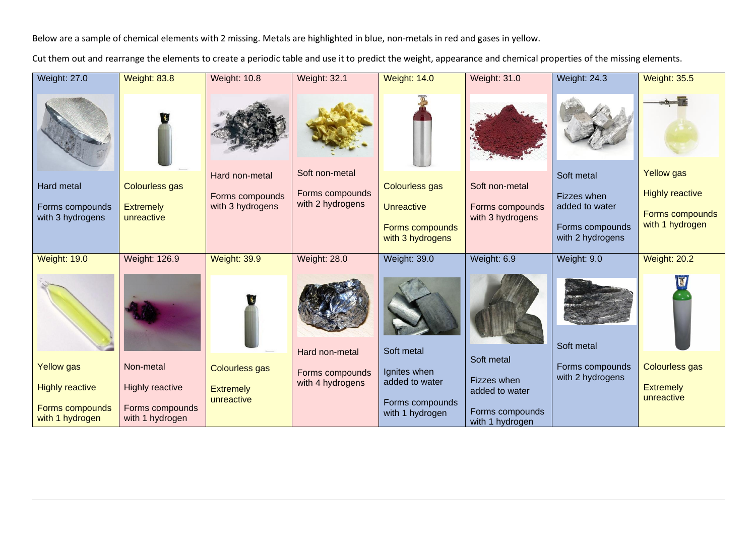Below are a sample of chemical elements with 2 missing. Metals are highlighted in blue, non-metals in red and gases in yellow.

Cut them out and rearrange the elements to create a periodic table and use it to predict the weight, appearance and chemical properties of the missing elements.

| <b>Weight: 27.0</b>                | <b>Weight: 83.8</b>                | <b>Weight: 10.8</b>                 | <b>Weight: 32.1</b>                 | <b>Weight: 14.0</b>                | <b>Weight: 31.0</b>                | <b>Weight: 24.3</b>                 | <b>Weight: 35.5</b>                |
|------------------------------------|------------------------------------|-------------------------------------|-------------------------------------|------------------------------------|------------------------------------|-------------------------------------|------------------------------------|
|                                    |                                    |                                     |                                     |                                    |                                    |                                     |                                    |
| Hard metal                         | <b>Colourless gas</b>              | Hard non-metal                      | Soft non-metal                      | <b>Colourless gas</b>              | Soft non-metal                     | Soft metal                          | <b>Yellow</b> gas                  |
| Forms compounds                    | <b>Extremely</b>                   | Forms compounds<br>with 3 hydrogens | Forms compounds<br>with 2 hydrogens | <b>Unreactive</b>                  | Forms compounds                    | Fizzes when<br>added to water       | <b>Highly reactive</b>             |
| with 3 hydrogens                   | unreactive                         |                                     |                                     | Forms compounds                    | with 3 hydrogens                   | Forms compounds                     | Forms compounds<br>with 1 hydrogen |
|                                    |                                    |                                     |                                     | with 3 hydrogens                   |                                    | with 2 hydrogens                    |                                    |
| <b>Weight: 19.0</b>                | <b>Weight: 126.9</b>               | <b>Weight: 39.9</b>                 | <b>Weight: 28.0</b>                 | <b>Weight: 39.0</b>                | Weight: 6.9                        | Weight: 9.0                         | <b>Weight: 20.2</b>                |
|                                    |                                    |                                     |                                     |                                    |                                    |                                     |                                    |
|                                    |                                    |                                     | Hard non-metal                      | Soft metal                         | Soft metal                         | Soft metal                          |                                    |
| <b>Yellow</b> gas                  | Non-metal                          | <b>Colourless gas</b>               | Forms compounds                     | Ignites when                       | Fizzes when                        | Forms compounds<br>with 2 hydrogens | <b>Colourless gas</b>              |
| <b>Highly reactive</b>             | <b>Highly reactive</b>             | <b>Extremely</b><br>unreactive      | with 4 hydrogens                    | added to water                     | added to water                     |                                     | <b>Extremely</b><br>unreactive     |
| Forms compounds<br>with 1 hydrogen | Forms compounds<br>with 1 hydrogen |                                     |                                     | Forms compounds<br>with 1 hydrogen | Forms compounds<br>with 1 hydrogen |                                     |                                    |